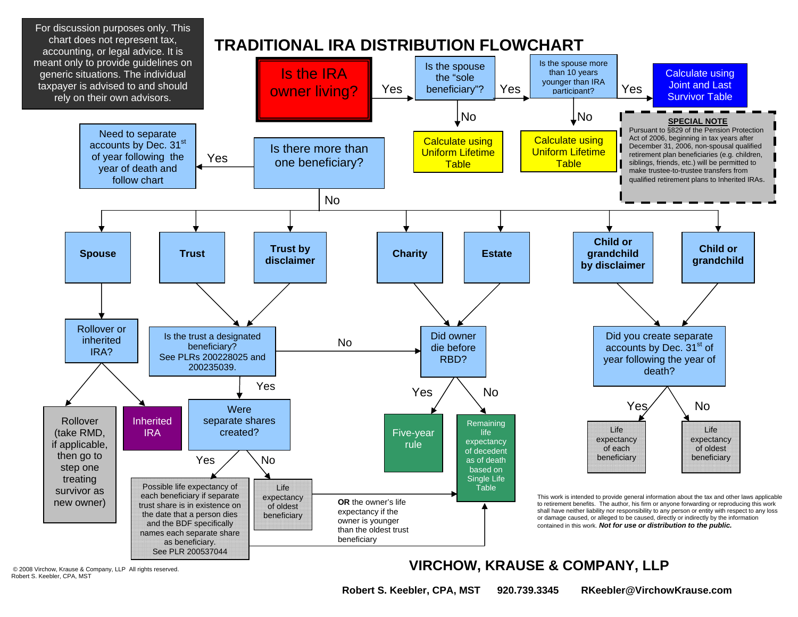

Robert S. Keebler, CPA, MST

© 2008 Virchow, Krause & Company, LLP All rights reserved. **VIRCHOW, KRAUSE & COMPANY, LLP**

 **Robert S. Keebler, CPA, MST 920.739.3345 RKeebler@VirchowKrause.com**